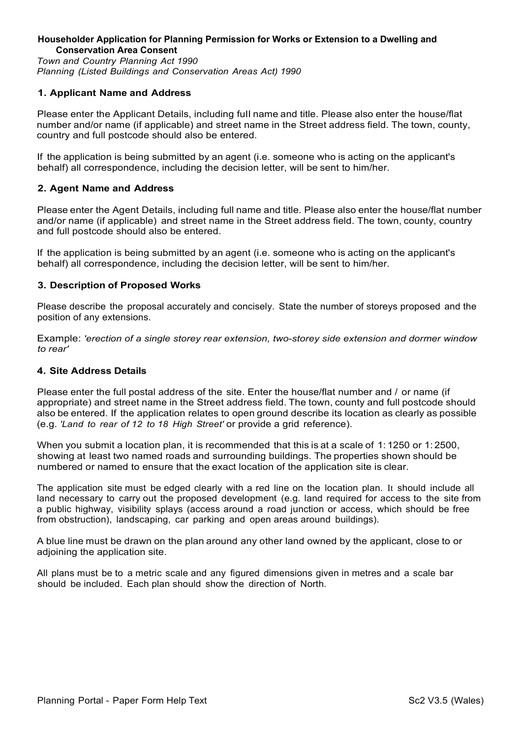# **Householder Application for Planning Permission for Works or Extension to a Dwelling and Conservation Area Consent**

*Town and Country Planning Act 1990 Planning (Listed Buildings and Conservation Areas Act) 1990*

# **1. Applicant Name and Address**

Please enter the Applicant Details, including fuII name and title. Please also enter the house/flat number and/or name (if applicable) and street name in the Street address field. The town, county, country and full postcode should also be entered.

If the application is being submitted by an agent (i.e. someone who is acting on the applicant's behalf) all correspondence, including the decision letter, will be sent to him/her.

# **2. Agent Name and Address**

Please enter the Agent Details, including full name and title. Please also enter the house/flat number and/or name (if applicable) and street name in the Street address field. The town, county, country and full postcode should also be entered.

If the application is being submitted by an agent (i.e. someone who is acting on the applicant's behalf) all correspondence, including the decision letter, will be sent to him/her.

# **3. Description of Proposed Works**

Please describe the proposal accurately and concisely. State the number of storeys proposed and the position of any extensions.

Example: *'erection of a single storey rear extension, two-storey side extension and dormer window to rear'*

# **4. Site Address Details**

Please enter the full postal address of the site. Enter the house/flat number and / or name (if appropriate) and street name in the Street address field. The town, county and full postcode should also be entered. If the application relates to open ground describe its location as clearly as possible (e.g. *'Land to rear of 12 to 18 High Street'* or provide a grid reference).

When you submit a location plan, it is recommended that this is at a scale of 1:1250 or 1:2500. showing at least two named roads and surrounding buildings. The properties shown should be numbered or named to ensure that the exact location of the application site is clear.

The application site must be edged clearly with a red line on the location plan. It should include all land necessary to carry out the proposed development (e.g. land required for access to the site from a public highway, visibility splays (access around a road junction or access, which should be free from obstruction), landscaping, car parking and open areas around buildings).

A blue line must be drawn on the plan around any other land owned by the applicant, close to or adjoining the application site.

All plans must be to a metric scale and any figured dimensions given in metres and a scale bar should be included. Each plan should show the direction of North.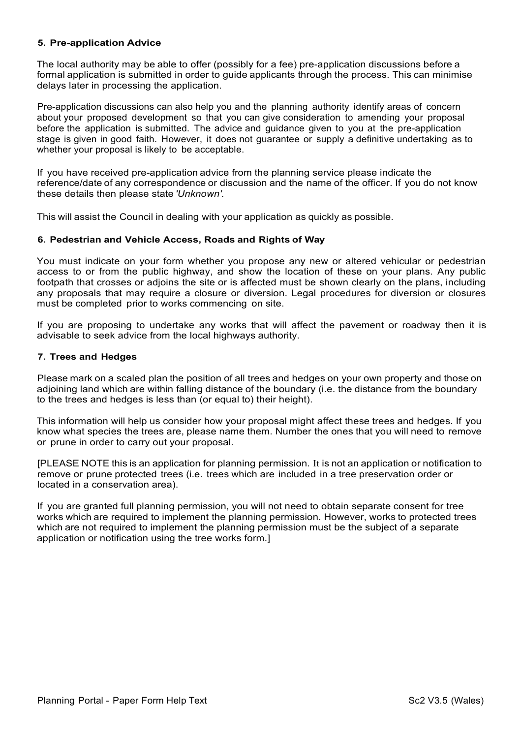# **5. Pre-application Advice**

The local authority may be able to offer (possibly for a fee) pre-application discussions before a formal application is submitted in order to guide applicants through the process. This can minimise delays later in processing the application.

Pre-application discussions can also help you and the planning authority identify areas of concern about your proposed development so that you can give consideration to amending your proposal before the application is submitted. The advice and guidance given to you at the pre-application stage is given in good faith. However, it does not guarantee or supply a definitive undertaking as to whether your proposal is likely to be acceptable.

If you have received pre-application advice from the planning service please indicate the reference/date of any correspondence or discussion and the name of the officer. If you do not know these details then please state *'Unknown'.*

This will assist the Council in dealing with your application as quickly as possible.

# **6. Pedestrian and Vehicle Access, Roads and Rights of Way**

You must indicate on your form whether you propose any new or altered vehicular or pedestrian access to or from the public highway, and show the location of these on your plans. Any public footpath that crosses or adjoins the site or is affected must be shown clearly on the plans, including any proposals that may require a closure or diversion. Legal procedures for diversion or closures must be completed prior to works commencing on site.

If you are proposing to undertake any works that will affect the pavement or roadway then it is advisable to seek advice from the local highways authority.

# **7. Trees and Hedges**

Please mark on a scaled plan the position of all trees and hedges on your own property and those on adjoining land which are within falling distance of the boundary (i.e. the distance from the boundary to the trees and hedges is less than (or equal to) their height).

This information will help us consider how your proposal might affect these trees and hedges. If you know what species the trees are, please name them. Number the ones that you will need to remove or prune in order to carry out your proposal.

[PLEASE NOTE this is an application for planning permission. It is not an application or notification to remove or prune protected trees (i.e. trees which are included in a tree preservation order or located in a conservation area).

If you are granted full planning permission, you will not need to obtain separate consent for tree works which are required to implement the planning permission. However, works to protected trees which are not required to implement the planning permission must be the subject of a separate application or notification using the tree works form.]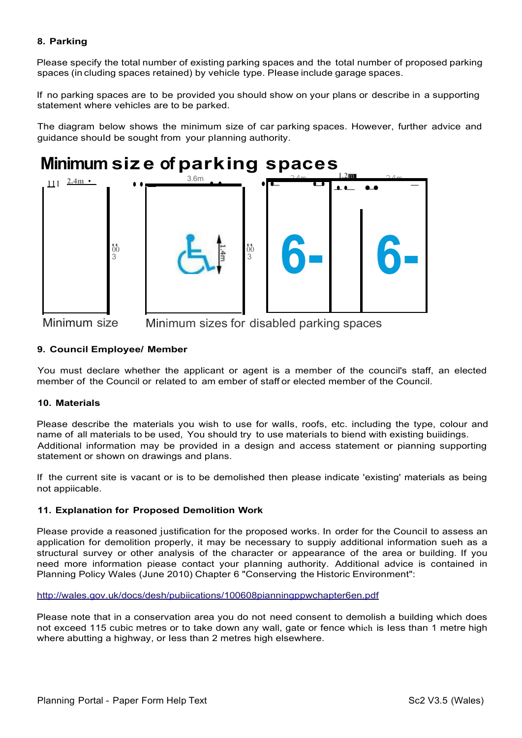# **8. Parking**

Please specify the total number of existing parking spaces and the total number of proposed parking spaces (in cluding spaces retained) by vehicle type. PIease include garage spaces.

If no parking spaces are to be provided you should show on your plans or describe in a supporting statement where vehicles are to be parked.

The diagram below shows the minimum size of car parking spaces. However, further advice and guidance should be sought from your planning authority.

#### **Minimum siz e of par k ing s pac e s**



Minimum size Minimum sizes for disabled parking spaces

# **9. Council Employee/ Member**

You must declare whether the applicant or agent is a member of the council's staff, an elected member of the Council or related to am ember of staff or elected member of the Council.

# **10. Materials**

Please describe the materials you wish to use for walIs, roofs, etc. including the type, colour and name of all materials to be used, You should try to use materials to biend with existing buildings. Additional information may be provided in a design and access statement or pianning supporting statement or shown on drawings and pIans.

If the current site is vacant or is to be demolished then please indicate 'existing' materials as being not appiicable.

# **11. Explanation for Proposed Demolition Work**

Please provide a reasoned justification for the proposed works. In order for the CounciI to assess an application for demolition properly, it may be necessary to suppiy additional information sueh as a structural survey or other analysis of the character or appearance of the area or building. If you need more information piease contact your planning authority. Additional advice is contained in Planning Policy Wales (June 2010) Chapter 6 "Conserving the Historic Environment":

<http://wales.gov.uk/docs/desh/pubiications/100608pianningppwchapter6en.pdf>

Please note that in a conservation area you do not need consent to demolish a building which does not exceed 115 cubic metres or to take down any wall, gate or fence whieh is Iess than 1 metre high where abutting a highway, or Iess than 2 metres high elsewhere.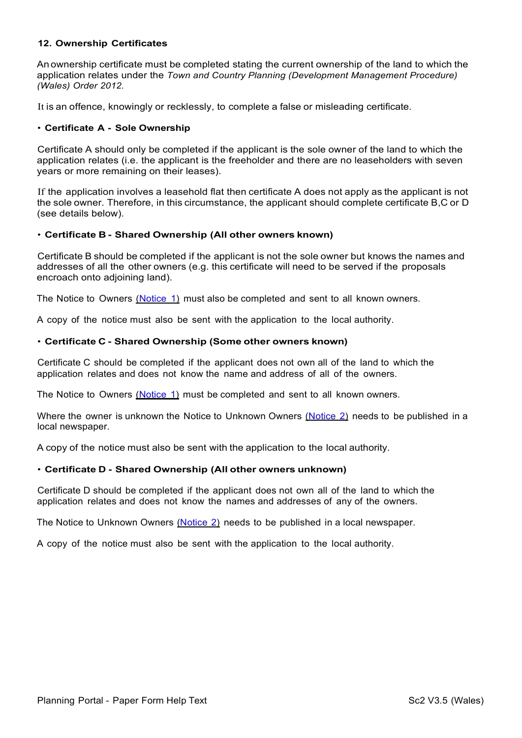# **12. Ownership Certificates**

An ownership certificate must be completed stating the current ownership of the land to which the application relates under the *Town and Country Planning (Development Management Procedure) (Wales) Order 2012.*

It is an offence, knowingly or recklessly, to complete a false or misleading certificate.

#### • **Certificate A - Sole Ownership**

Certificate A should only be completed if the applicant is the sole owner of the land to which the application relates (i.e. the applicant is the freeholder and there are no leaseholders with seven years or more remaining on their leases).

If the application involves a leasehold flat then certificate A does not apply as the applicant is not the sole owner. Therefore, in this circumstance, the applicant should complete certificate B,C or D (see details below).

#### • **Certificate B - Shared Ownership (All other owners known)**

Certificate B should be completed if the applicant is not the sole owner but knows the names and addresses of all the other owners (e.g. this certificate will need to be served if the proposals encroach onto adjoining land).

The Notice to Owners (Notice 1) must also be completed and sent to all known owners.

A copy of the notice must also be sent with the application to the local authority.

# • **Certificate C - Shared Ownership (Some other owners known)**

Certificate C should be completed if the applicant does not own all of the land to which the application relates and does not know the name and address of all of the owners.

The Notice to Owners (Notice 1) must be completed and sent to all known owners.

Where the owner is unknown the Notice to Unknown Owners (Notice 2) needs to be published in a local newspaper.

A copy of the notice must also be sent with the application to the local authority.

# • **Certificate D - Shared Ownership (All other owners unknown)**

Certificate D should be completed if the applicant does not own all of the land to which the application relates and does not know the names and addresses of any of the owners.

The Notice to Unknown Owners (Notice 2) needs to be published in a local newspaper.

A copy of the notice must also be sent with the application to the local authority.